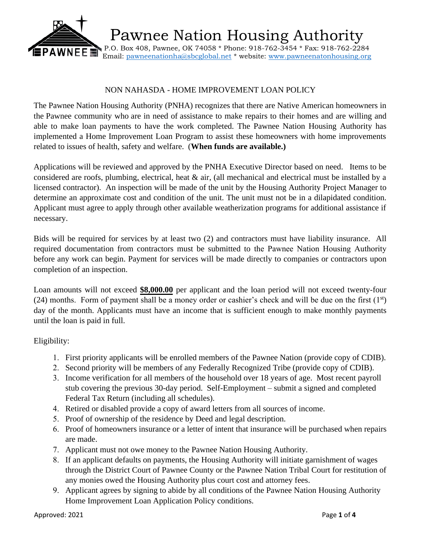

Pawnee Nation Housing Authority

 P.O. Box 408, Pawnee, OK 74058 \* Phone: 918-762-3454 \* Fax: 918-762-2284 Email: [pawneenationha@sbcglobal.net](mailto:pawneenationha@sbcglobal.net) \* website: [www.pawneenatonhousing.org](http://www.pawneenatonhousing.org/)

## NON NAHASDA - HOME IMPROVEMENT LOAN POLICY

The Pawnee Nation Housing Authority (PNHA) recognizes that there are Native American homeowners in the Pawnee community who are in need of assistance to make repairs to their homes and are willing and able to make loan payments to have the work completed. The Pawnee Nation Housing Authority has implemented a Home Improvement Loan Program to assist these homeowners with home improvements related to issues of health, safety and welfare. (**When funds are available.)** 

Applications will be reviewed and approved by the PNHA Executive Director based on need. Items to be considered are roofs, plumbing, electrical, heat & air, (all mechanical and electrical must be installed by a licensed contractor). An inspection will be made of the unit by the Housing Authority Project Manager to determine an approximate cost and condition of the unit. The unit must not be in a dilapidated condition. Applicant must agree to apply through other available weatherization programs for additional assistance if necessary.

Bids will be required for services by at least two (2) and contractors must have liability insurance. All required documentation from contractors must be submitted to the Pawnee Nation Housing Authority before any work can begin. Payment for services will be made directly to companies or contractors upon completion of an inspection.

Loan amounts will not exceed **\$8,000.00** per applicant and the loan period will not exceed twenty-four (24) months. Form of payment shall be a money order or cashier's check and will be due on the first  $(1<sup>st</sup>)$ day of the month. Applicants must have an income that is sufficient enough to make monthly payments until the loan is paid in full.

### Eligibility:

- 1. First priority applicants will be enrolled members of the Pawnee Nation (provide copy of CDIB).
- 2. Second priority will be members of any Federally Recognized Tribe (provide copy of CDIB).
- 3. Income verification for all members of the household over 18 years of age. Most recent payroll stub covering the previous 30-day period. Self-Employment – submit a signed and completed Federal Tax Return (including all schedules).
- 4. Retired or disabled provide a copy of award letters from all sources of income.
- 5. Proof of ownership of the residence by Deed and legal description.
- 6. Proof of homeowners insurance or a letter of intent that insurance will be purchased when repairs are made.
- 7. Applicant must not owe money to the Pawnee Nation Housing Authority.
- 8. If an applicant defaults on payments, the Housing Authority will initiate garnishment of wages through the District Court of Pawnee County or the Pawnee Nation Tribal Court for restitution of any monies owed the Housing Authority plus court cost and attorney fees.
- 9. Applicant agrees by signing to abide by all conditions of the Pawnee Nation Housing Authority Home Improvement Loan Application Policy conditions.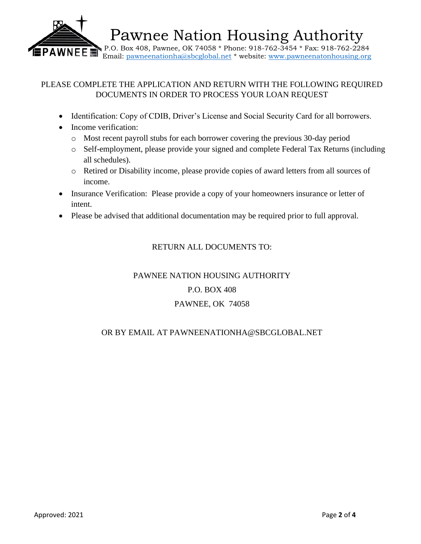

## PLEASE COMPLETE THE APPLICATION AND RETURN WITH THE FOLLOWING REQUIRED DOCUMENTS IN ORDER TO PROCESS YOUR LOAN REQUEST

- Identification: Copy of CDIB, Driver's License and Social Security Card for all borrowers.
- Income verification:
	- o Most recent payroll stubs for each borrower covering the previous 30-day period
	- o Self-employment, please provide your signed and complete Federal Tax Returns (including all schedules).
	- o Retired or Disability income, please provide copies of award letters from all sources of income.
- Insurance Verification: Please provide a copy of your homeowners insurance or letter of intent.
- Please be advised that additional documentation may be required prior to full approval.

## RETURN ALL DOCUMENTS TO:

# PAWNEE NATION HOUSING AUTHORITY P.O. BOX 408 PAWNEE, OK 74058

## OR BY EMAIL AT PAWNEENATIONHA@SBCGLOBAL.NET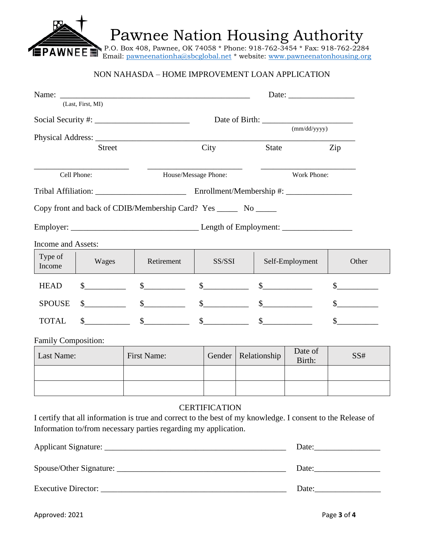Pawnee Nation Housing Authority

 P.O. Box 408, Pawnee, OK 74058 \* Phone: 918-762-3454 \* Fax: 918-762-2284 Email: [pawneenationha@sbcglobal.net](mailto:pawneenationha@sbcglobal.net) \* website: [www.pawneenatonhousing.org](http://www.pawneenatonhousing.org/)

### NON NAHASDA – HOME IMPROVEMENT LOAN APPLICATION

| Name:               |                   |                                                                                                                                                                                |                      |                             |                     |                       |  |
|---------------------|-------------------|--------------------------------------------------------------------------------------------------------------------------------------------------------------------------------|----------------------|-----------------------------|---------------------|-----------------------|--|
|                     | (Last, First, MI) |                                                                                                                                                                                |                      |                             |                     |                       |  |
|                     |                   |                                                                                                                                                                                |                      |                             |                     |                       |  |
|                     |                   |                                                                                                                                                                                |                      |                             | (mm/dd/yyyy)        |                       |  |
|                     | <b>Street</b>     |                                                                                                                                                                                | City                 | <b>State</b>                |                     | Zip                   |  |
| Cell Phone:         |                   | House/Message Phone:                                                                                                                                                           |                      |                             | Work Phone:         |                       |  |
|                     |                   |                                                                                                                                                                                |                      |                             |                     |                       |  |
|                     |                   | Copy front and back of CDIB/Membership Card? Yes ________ No _______                                                                                                           |                      |                             |                     |                       |  |
|                     |                   |                                                                                                                                                                                |                      |                             |                     |                       |  |
| Income and Assets:  |                   |                                                                                                                                                                                |                      |                             |                     |                       |  |
| Type of<br>Income   | Wages             | Retirement                                                                                                                                                                     | SS/SSI               |                             | Self-Employment     | Other                 |  |
| <b>HEAD</b>         | $\sim$            | $\mathbb{S}$                                                                                                                                                                   | $\sim$               | $\frac{1}{2}$               |                     |                       |  |
| <b>SPOUSE</b>       |                   | $\frac{\text{S}}{\text{S}}$                                                                                                                                                    |                      | $\frac{\text{S}}{\text{S}}$ |                     |                       |  |
| <b>TOTAL</b>        |                   | $\sim$                                                                                                                                                                         | $\sim$ $\sim$        | $\mathbb{S}$                |                     |                       |  |
| Family Composition: |                   |                                                                                                                                                                                |                      |                             |                     |                       |  |
| Last Name:          |                   | <b>First Name:</b>                                                                                                                                                             | Gender               | Relationship                | Date of<br>Birth:   | SS#                   |  |
|                     |                   |                                                                                                                                                                                |                      |                             |                     |                       |  |
|                     |                   |                                                                                                                                                                                |                      |                             |                     |                       |  |
|                     |                   |                                                                                                                                                                                | <b>CERTIFICATION</b> |                             |                     |                       |  |
|                     |                   | I certify that all information is true and correct to the best of my knowledge. I consent to the Release of<br>Information to/from necessary parties regarding my application. |                      |                             |                     |                       |  |
|                     |                   |                                                                                                                                                                                |                      |                             | Date: $\frac{1}{2}$ |                       |  |
|                     |                   |                                                                                                                                                                                |                      |                             |                     | Date: $\qquad \qquad$ |  |
|                     |                   |                                                                                                                                                                                |                      |                             |                     |                       |  |

**PAWNEE**